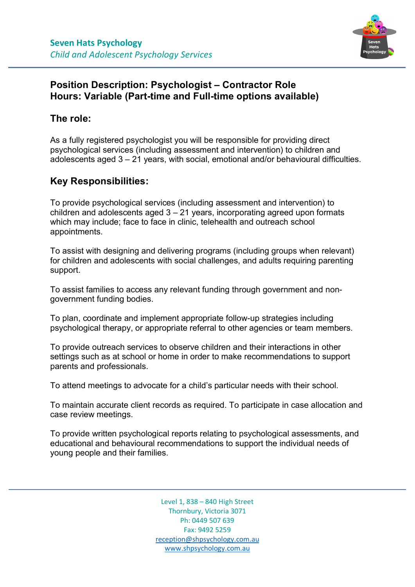

## **Position Description: Psychologist – Contractor Role Hours: Variable (Part-time and Full-time options available)**

## **The role:**

As a fully registered psychologist you will be responsible for providing direct psychological services (including assessment and intervention) to children and adolescents aged 3 – 21 years, with social, emotional and/or behavioural difficulties.

## **Key Responsibilities:**

To provide psychological services (including assessment and intervention) to children and adolescents aged  $3 - 21$  years, incorporating agreed upon formats which may include; face to face in clinic, telehealth and outreach school appointments.

To assist with designing and delivering programs (including groups when relevant) for children and adolescents with social challenges, and adults requiring parenting support.

To assist families to access any relevant funding through government and nongovernment funding bodies.

To plan, coordinate and implement appropriate follow-up strategies including psychological therapy, or appropriate referral to other agencies or team members.

To provide outreach services to observe children and their interactions in other settings such as at school or home in order to make recommendations to support parents and professionals.

To attend meetings to advocate for a child's particular needs with their school.

To maintain accurate client records as required. To participate in case allocation and case review meetings.

To provide written psychological reports relating to psychological assessments, and educational and behavioural recommendations to support the individual needs of young people and their families.

> Level 1, 838 – 840 High Street Thornbury, Victoria 3071 Ph: 0449 507 639 Fax: 9492 5259 [reception@shpsychology.com.au](mailto:samanthahollis.psychologist@gmail.com) [www.shpsychology.com.au](http://www.shpsychology.com.au/)